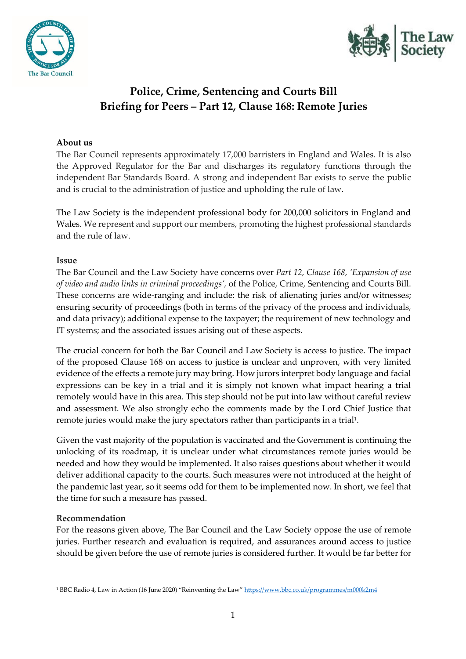



# **Police, Crime, Sentencing and Courts Bill Briefing for Peers – Part 12, Clause 168: Remote Juries**

## **About us**

The Bar Council represents approximately 17,000 barristers in England and Wales. It is also the Approved Regulator for the Bar and discharges its regulatory functions through the independent Bar Standards Board. A strong and independent Bar exists to serve the public and is crucial to the administration of justice and upholding the rule of law.

The Law Society is the independent professional body for 200,000 solicitors in England and Wales. We represent and support our members, promoting the highest professional standards and the rule of law.

#### **Issue**

The Bar Council and the Law Society have concerns over *Part 12, Clause 168, 'Expansion of use of video and audio links in criminal proceedings',* of the Police, Crime, Sentencing and Courts Bill. These concerns are wide-ranging and include: the risk of alienating juries and/or witnesses; ensuring security of proceedings (both in terms of the privacy of the process and individuals, and data privacy); additional expense to the taxpayer; the requirement of new technology and IT systems; and the associated issues arising out of these aspects.

The crucial concern for both the Bar Council and Law Society is access to justice. The impact of the proposed Clause 168 on access to justice is unclear and unproven, with very limited evidence of the effects a remote jury may bring. How jurors interpret body language and facial expressions can be key in a trial and it is simply not known what impact hearing a trial remotely would have in this area. This step should not be put into law without careful review and assessment. We also strongly echo the comments made by the Lord Chief Justice that remote juries would make the jury spectators rather than participants in a trial<sup>1</sup> .

Given the vast majority of the population is vaccinated and the Government is continuing the unlocking of its roadmap, it is unclear under what circumstances remote juries would be needed and how they would be implemented. It also raises questions about whether it would deliver additional capacity to the courts. Such measures were not introduced at the height of the pandemic last year, so it seems odd for them to be implemented now. In short, we feel that the time for such a measure has passed.

#### **Recommendation**

For the reasons given above, The Bar Council and the Law Society oppose the use of remote juries. Further research and evaluation is required, and assurances around access to justice should be given before the use of remote juries is considered further. It would be far better for

<sup>&</sup>lt;sup>1</sup> BBC Radio 4, Law in Action (16 June 2020) "Reinventing the Law" <https://www.bbc.co.uk/programmes/m000k2m4>